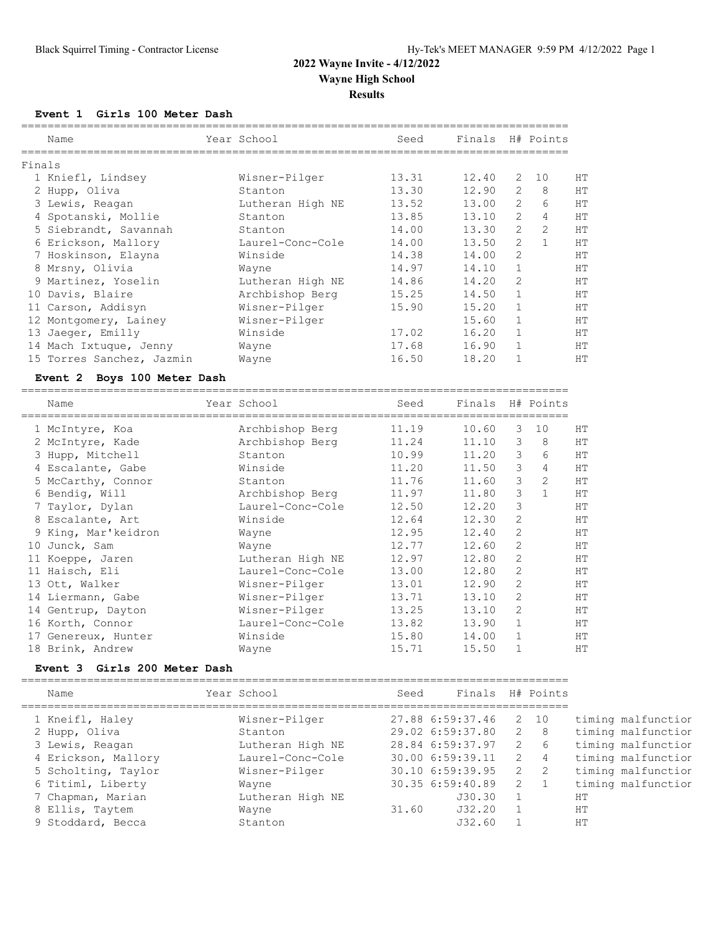===================================================================================

**Event 1 Girls 100 Meter Dash**

|        | Name                      | Year School      | Seed  | Finals |                | H# Points      |    |
|--------|---------------------------|------------------|-------|--------|----------------|----------------|----|
| Finals |                           |                  |       |        |                |                |    |
|        | 1 Kniefl, Lindsey         | Wisner-Pilger    | 13.31 | 12.40  | 2              | 10             | HТ |
|        | 2 Hupp, Oliva             | Stanton          | 13.30 | 12.90  | 2              | 8              | HT |
|        | 3 Lewis, Reagan           | Lutheran High NE | 13.52 | 13.00  | $\overline{2}$ | 6              | HT |
|        | 4 Spotanski, Mollie       | Stanton          | 13.85 | 13.10  | 2              | 4              | HT |
|        | 5 Siebrandt, Savannah     | Stanton          | 14.00 | 13.30  | $\overline{2}$ | $\overline{2}$ | HT |
|        | 6 Erickson, Mallory       | Laurel-Conc-Cole | 14.00 | 13.50  | $\overline{2}$ |                | HT |
|        | 7 Hoskinson, Elayna       | Winside          | 14.38 | 14.00  | $\overline{2}$ |                | HT |
|        | 8 Mrsny, Olivia           | Wayne            | 14.97 | 14.10  | 1              |                | HT |
|        | 9 Martinez, Yoselin       | Lutheran High NE | 14.86 | 14.20  | $\overline{2}$ |                | HT |
| 10     | Davis, Blaire             | Archbishop Berg  | 15.25 | 14.50  | 1              |                | HT |
| 11     | Carson, Addisyn           | Wisner-Pilger    | 15.90 | 15.20  | 1              |                | HT |
|        | 12 Montgomery, Lainey     | Wisner-Pilger    |       | 15.60  | 1              |                | HT |
| 13     | Jaeger, Emilly            | Winside          | 17.02 | 16.20  |                |                | HT |
| 14     | Mach Ixtuque, Jenny       | Wayne            | 17.68 | 16.90  |                |                | HT |
|        | 15 Torres Sanchez, Jazmin | Wayne            | 16.50 | 18.20  |                |                | HT |

#### **Event 2 Boys 100 Meter Dash**

|    | Name                | Year School      | Seed  | Finals H# Points |                |                |           |
|----|---------------------|------------------|-------|------------------|----------------|----------------|-----------|
|    | 1 McIntyre, Koa     | Archbishop Berg  | 11.19 | 10.60            | 3              | 10             | HT        |
|    | 2 McIntyre, Kade    | Archbishop Berg  | 11.24 | 11.10            | 3              | 8              | HT        |
|    | 3 Hupp, Mitchell    | Stanton          | 10.99 | 11.20            | 3              | 6              | HT        |
|    | 4 Escalante, Gabe   | Winside          | 11.20 | 11.50            | 3              | $\overline{4}$ | <b>HT</b> |
|    | 5 McCarthy, Connor  | Stanton          | 11.76 | 11.60            | 3              | 2              | <b>HT</b> |
|    | 6 Bendig, Will      | Archbishop Berg  | 11.97 | 11.80            | 3              | $\mathbf{1}$   | HT        |
|    | 7 Taylor, Dylan     | Laurel-Conc-Cole | 12.50 | 12.20            | 3              |                | <b>HT</b> |
|    | 8 Escalante, Art    | Winside          | 12.64 | 12.30            | 2              |                | <b>HT</b> |
|    | 9 King, Mar'keidron | Wayne            | 12.95 | 12.40            | $\mathcal{P}$  |                | <b>HT</b> |
| 10 | Junck, Sam          | Wayne            | 12.77 | 12.60            | 2              |                | HT        |
| 11 | Koeppe, Jaren       | Lutheran High NE | 12.97 | 12.80            | 2              |                | <b>HT</b> |
|    | 11 Haisch, Eli      | Laurel-Conc-Cole | 13.00 | 12.80            | $\overline{2}$ |                | HT        |
|    | 13 Ott, Walker      | Wisner-Pilger    | 13.01 | 12.90            | $\overline{2}$ |                | HT        |
|    | 14 Liermann, Gabe   | Wisner-Pilger    | 13.71 | 13.10            | 2              |                | HТ        |
|    | 14 Gentrup, Dayton  | Wisner-Pilger    | 13.25 | 13.10            | $\overline{2}$ |                | <b>HT</b> |
| 16 | Korth, Connor       | Laurel-Conc-Cole | 13.82 | 13.90            |                |                | HТ        |
| 17 | Genereux, Hunter    | Winside          | 15.80 | 14.00            | $\mathbf{1}$   |                | HT        |
| 18 | Brink, Andrew       | Wayne            | 15.71 | 15.50            |                |                | <b>HT</b> |

#### **Event 3 Girls 200 Meter Dash**

=================================================================================== Name Year School Seed Finals H# Points

| Nallle              | Iedi pchool      | beea  | LINGIS - H# FOINLS |              |                |                    |
|---------------------|------------------|-------|--------------------|--------------|----------------|--------------------|
| 1 Kneifl, Haley     | Wisner-Pilger    |       | 27.88 6:59:37.46   |              | 2 10           | timing malfunctior |
| 2 Hupp, Oliva       | Stanton          |       | 29.02 6:59:37.80   |              | 2 8            | timing malfunctior |
| 3 Lewis, Reagan     | Lutheran High NE |       | 28.84 6:59:37.97   | $\mathbf{2}$ | 6              | timing malfunctior |
| 4 Erickson, Mallory | Laurel-Conc-Cole |       | 30.00 6:59:39.11   | 2            | $\overline{4}$ | timing malfunctior |
| 5 Scholting, Taylor | Wisner-Pilger    |       | 30.10 6:59:39.95   | 2            | 2              | timing malfunctior |
| 6 Titiml, Liberty   | Wayne            |       | 30.35 6:59:40.89   | 2            |                | timing malfunctior |
| 7 Chapman, Marian   | Lutheran High NE |       | J30.30             |              |                | HТ                 |
| 8 Ellis, Taytem     | Wayne            | 31.60 | J32.20             |              |                | HТ                 |
| 9 Stoddard, Becca   | Stanton          |       | J32.60             |              |                | HT.                |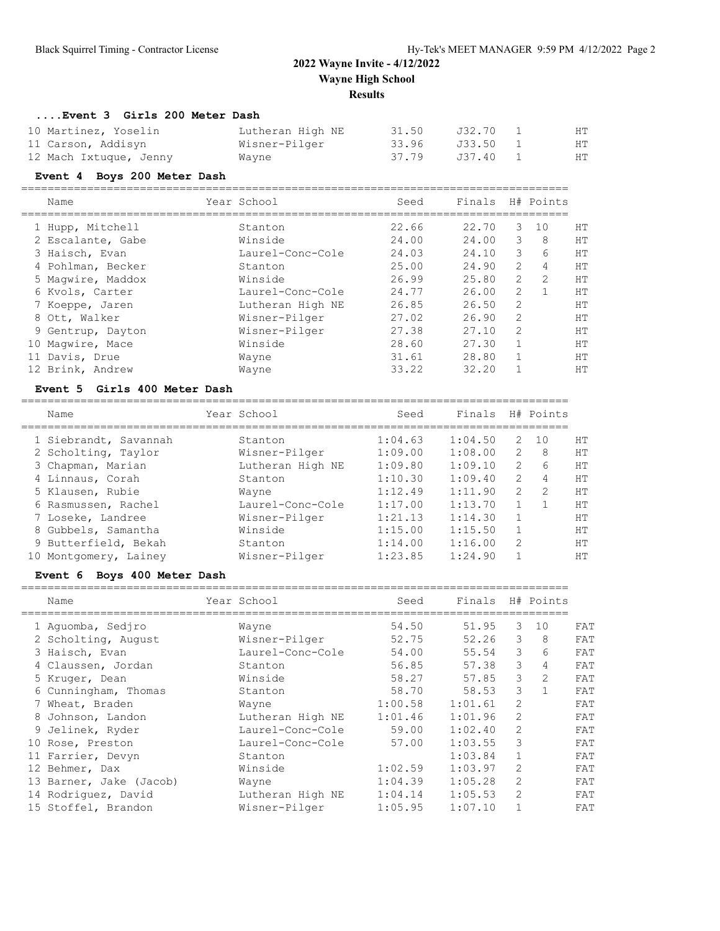#### **....Event 3 Girls 200 Meter Dash**

| 10 Martinez, Yoselin   | Lutheran High NE | 31.50 | J32.70   | HТ |
|------------------------|------------------|-------|----------|----|
| 11 Carson, Addisyn     | Wisner-Pilger    | 33.96 | J33.50 1 | HТ |
| 12 Mach Ixtuque, Jenny | Wayne            | 37.79 | J37.40 1 | HТ |

#### **Event 4 Boys 200 Meter Dash**

===================================================================================

| Name              | Year School      | Seed  | Finals |   | H# Points     |    |
|-------------------|------------------|-------|--------|---|---------------|----|
| 1 Hupp, Mitchell  | Stanton          | 22.66 | 22.70  | 3 | 10            | НT |
| 2 Escalante, Gabe | Winside          | 24.00 | 24.00  | 3 | 8             | HT |
| 3 Haisch, Evan    | Laurel-Conc-Cole | 24.03 | 24.10  | 3 | 6             | HT |
| 4 Pohlman, Becker | Stanton          | 25.00 | 24.90  | 2 | 4             | HT |
| 5 Maqwire, Maddox | Winside          | 26.99 | 25.80  | 2 | $\mathcal{L}$ | HT |
| 6 Kvols, Carter   | Laurel-Conc-Cole | 24.77 | 26.00  | 2 |               | HT |
| 7 Koeppe, Jaren   | Lutheran High NE | 26.85 | 26.50  | 2 |               | HT |
| 8 Ott, Walker     | Wisner-Pilger    | 27.02 | 26.90  | 2 |               | HT |
| 9 Gentrup, Dayton | Wisner-Pilger    | 27.38 | 27.10  | 2 |               | HT |
| 10 Magwire, Mace  | Winside          | 28.60 | 27.30  |   |               | HT |
| 11 Davis, Drue    | Wayne            | 31.61 | 28.80  |   |               | HT |
| 12 Brink, Andrew  | Wayne            | 33.22 | 32.20  |   |               | HT |

#### **Event 5 Girls 400 Meter Dash**

|    | Name                  | Year School      | Seed    | Finals  |               | H# Points     |    |
|----|-----------------------|------------------|---------|---------|---------------|---------------|----|
|    | 1 Siebrandt, Savannah | Stanton          | 1:04.63 | 1:04.50 | $\mathcal{L}$ | 10            | HТ |
|    | 2 Scholting, Taylor   | Wisner-Pilger    | 1:09.00 | 1:08.00 | $\mathcal{L}$ | 8             | HT |
|    | 3 Chapman, Marian     | Lutheran High NE | 1:09.80 | 1:09.10 | $\mathcal{L}$ | 6             | HТ |
|    | 4 Linnaus, Corah      | Stanton          | 1:10.30 | 1:09.40 | $\mathcal{L}$ | 4             | HТ |
|    | 5 Klausen, Rubie      | Wayne            | 1:12.49 | 1:11.90 | $\mathcal{L}$ | $\mathcal{D}$ | HТ |
|    | 6 Rasmussen, Rachel   | Laurel-Conc-Cole | 1:17.00 | 1:13.70 |               |               | HТ |
|    | 7 Loseke, Landree     | Wisner-Pilger    | 1:21.13 | 1:14.30 |               |               | HТ |
|    | 8 Gubbels, Samantha   | Winside          | 1:15.00 | 1:15.50 |               |               | HТ |
|    | 9 Butterfield, Bekah  | Stanton          | 1:14.00 | 1:16.00 | $\mathcal{L}$ |               | HТ |
| 10 | Montgomery, Lainey    | Wisner-Pilger    | 1:23.85 | 1:24.90 |               |               | HТ |
|    |                       |                  |         |         |               |               |    |

## **Event 6 Boys 400 Meter Dash**

===================================================================================

| Name                    | Year School      | Seed    | Finals  |               | H# Points    |     |
|-------------------------|------------------|---------|---------|---------------|--------------|-----|
| 1 Aquomba, Sedjro       | Wayne            | 54.50   | 51.95   | 3             | 10           | FAT |
| 2 Scholting, August     | Wisner-Pilger    | 52.75   | 52.26   | 3             | 8            | FAT |
| 3 Haisch, Evan          | Laurel-Conc-Cole | 54.00   | 55.54   | $\mathcal{E}$ | 6            | FAT |
| 4 Claussen, Jordan      | Stanton          | 56.85   | 57.38   | 3             | 4            | FAT |
| 5 Kruger, Dean          | Winside          | 58.27   | 57.85   | 3             | 2            | FAT |
| 6 Cunningham, Thomas    | Stanton          | 58.70   | 58.53   | 3             | $\mathbf{1}$ | FAT |
| 7 Wheat, Braden         | Wayne            | 1:00.58 | 1:01.61 | 2             |              | FAT |
| 8 Johnson, Landon       | Lutheran High NE | 1:01.46 | 1:01.96 | 2             |              | FAT |
| 9 Jelinek, Ryder        | Laurel-Conc-Cole | 59.00   | 1:02.40 | 2             |              | FAT |
| 10 Rose, Preston        | Laurel-Conc-Cole | 57.00   | 1:03.55 | 3             |              | FAT |
| 11 Farrier, Devyn       | Stanton          |         | 1:03.84 |               |              | FAT |
| 12 Behmer, Dax          | Winside          | 1:02.59 | 1:03.97 | 2             |              | FAT |
| 13 Barner, Jake (Jacob) | Wayne            | 1:04.39 | 1:05.28 | 2             |              | FAT |
| 14 Rodriguez, David     | Lutheran High NE | 1:04.14 | 1:05.53 | 2             |              | FAT |
| 15 Stoffel, Brandon     | Wisner-Pilger    | 1:05.95 | 1:07.10 |               |              | FAT |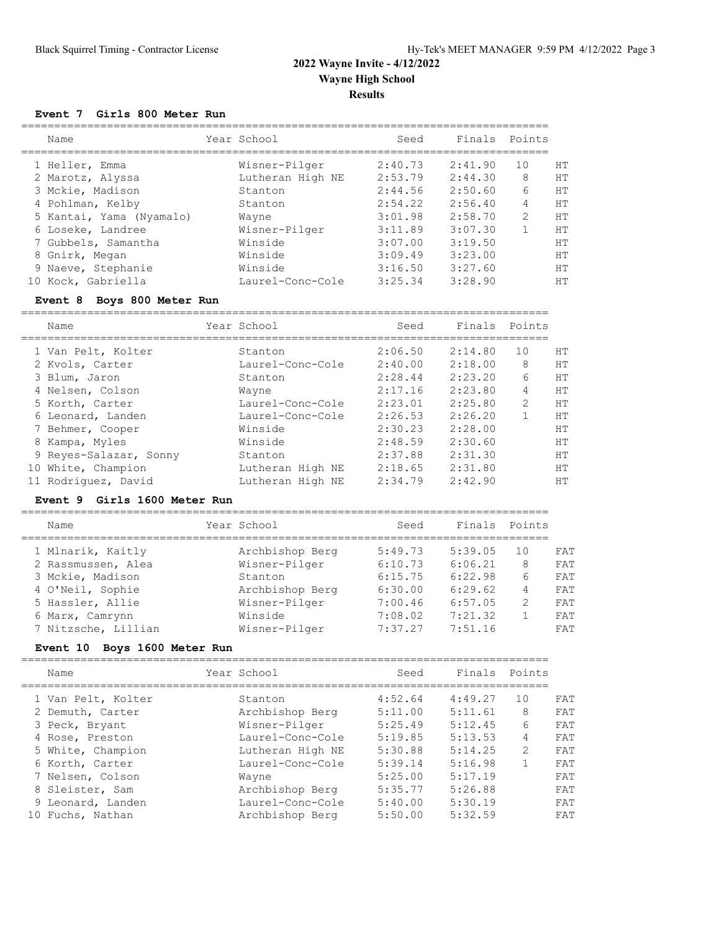#### **Event 7 Girls 800 Meter Run**

|  | Name                     | Year School      | Seed    | Finals  | Points        |           |
|--|--------------------------|------------------|---------|---------|---------------|-----------|
|  | 1 Heller, Emma           | Wisner-Pilger    | 2:40.73 | 2:41.90 | 10            | HТ        |
|  | 2 Marotz, Alyssa         | Lutheran High NE | 2:53.79 | 2:44.30 | 8             | HТ        |
|  | 3 Mckie, Madison         | Stanton          | 2:44.56 | 2:50.60 | 6             | HТ        |
|  | 4 Pohlman, Kelby         | Stanton          | 2:54.22 | 2:56.40 | 4             | HТ        |
|  | 5 Kantai, Yama (Nyamalo) | Wayne            | 3:01.98 | 2:58.70 | $\mathcal{P}$ | <b>HT</b> |
|  | 6 Loseke, Landree        | Wisner-Pilger    | 3:11.89 | 3:07.30 |               | HТ        |
|  | 7 Gubbels, Samantha      | Winside          | 3:07.00 | 3:19.50 |               | HТ        |
|  | 8 Gnirk, Megan           | Winside          | 3:09.49 | 3:23.00 |               | <b>HT</b> |
|  | 9 Naeve, Stephanie       | Winside          | 3:16.50 | 3:27.60 |               | HТ        |
|  | 10 Kock, Gabriella       | Laurel-Conc-Cole | 3:25.34 | 3:28.90 |               | HТ        |
|  |                          |                  |         |         |               |           |

#### **Event 8 Boys 800 Meter Run**

================================================================================

| Name                   | Year School      | Seed    | Finals  | Points |           |
|------------------------|------------------|---------|---------|--------|-----------|
| 1 Van Pelt, Kolter     | Stanton          | 2:06.50 | 2:14.80 | 10     | HТ        |
| 2 Kvols, Carter        | Laurel-Conc-Cole | 2:40.00 | 2:18.00 | 8      | <b>HT</b> |
| 3 Blum, Jaron          | Stanton          | 2:28.44 | 2:23.20 | 6      | <b>HT</b> |
| 4 Nelsen, Colson       | Wayne            | 2:17.16 | 2:23.80 | 4      | <b>HT</b> |
| 5 Korth, Carter        | Laurel-Conc-Cole | 2:23.01 | 2:25.80 | 2      | <b>HT</b> |
| 6 Leonard, Landen      | Laurel-Conc-Cole | 2:26.53 | 2:26.20 |        | <b>HT</b> |
| 7 Behmer, Cooper       | Winside          | 2:30.23 | 2:28.00 |        | <b>HT</b> |
| 8 Kampa, Myles         | Winside          | 2:48.59 | 2:30.60 |        | <b>HT</b> |
| 9 Reyes-Salazar, Sonny | Stanton          | 2:37.88 | 2:31.30 |        | <b>HT</b> |
| 10 White, Champion     | Lutheran High NE | 2:18.65 | 2:31.80 |        | <b>HT</b> |
| 11 Rodriguez, David    | Lutheran High NE | 2:34.79 | 2:42.90 |        | <b>HT</b> |

#### **Event 9 Girls 1600 Meter Run**

| Name                | Year School     | Seed    | Finals  | Points |     |
|---------------------|-----------------|---------|---------|--------|-----|
| 1 Mlnarik, Kaitly   | Archbishop Berg | 5:49.73 | 5:39.05 | 10     | FAT |
| 2 Rassmussen, Alea  | Wisner-Pilger   | 6:10.73 | 6:06.21 | 8      | FAT |
| 3 Mckie, Madison    | Stanton         | 6:15.75 | 6:22.98 | 6      | FAT |
| 4 O'Neil, Sophie    | Archbishop Berg | 6:30.00 | 6:29.62 | 4      | FAT |
| 5 Hassler, Allie    | Wisner-Pilger   | 7:00.46 | 6:57.05 | 2      | FAT |
| 6 Marx, Camrynn     | Winside         | 7:08.02 | 7:21.32 |        | FAT |
| 7 Nitzsche, Lillian | Wisner-Pilger   | 7:37.27 | 7:51.16 |        | FAT |
|                     |                 |         |         |        |     |

#### **Event 10 Boys 1600 Meter Run**

|    | Name               | Year School      | Seed    | Finals  | Points |     |
|----|--------------------|------------------|---------|---------|--------|-----|
|    | 1 Van Pelt, Kolter | Stanton          | 4:52.64 | 4:49.27 | 10     | FAT |
|    | 2 Demuth, Carter   | Archbishop Berg  | 5:11.00 | 5:11.61 | 8      | FAT |
|    | 3 Peck, Bryant     | Wisner-Pilger    | 5:25.49 | 5:12.45 | 6      | FAT |
|    | 4 Rose, Preston    | Laurel-Conc-Cole | 5:19.85 | 5:13.53 | 4      | FAT |
|    | 5 White, Champion  | Lutheran High NE | 5:30.88 | 5:14.25 | 2      | FAT |
|    | 6 Korth, Carter    | Laurel-Conc-Cole | 5:39.14 | 5:16.98 |        | FAT |
|    | 7 Nelsen, Colson   | Wayne            | 5:25.00 | 5:17.19 |        | FAT |
|    | 8 Sleister, Sam    | Archbishop Berg  | 5:35.77 | 5:26.88 |        | FAT |
|    | 9 Leonard, Landen  | Laurel-Conc-Cole | 5:40.00 | 5:30.19 |        | FAT |
| 10 | Fuchs, Nathan      | Archbishop Berg  | 5:50.00 | 5:32.59 |        | FAT |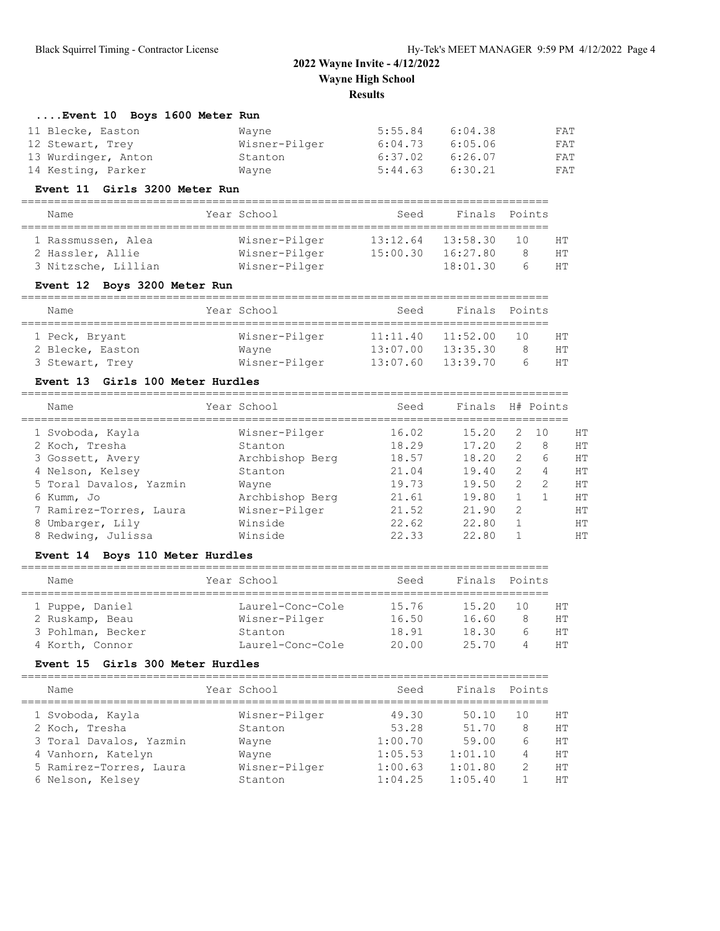### **....Event 10 Boys 1600 Meter Run**

| 11 Blecke, Easton   | Wavne         | 5:55.84 | 6:04.38 | FAT |
|---------------------|---------------|---------|---------|-----|
| 12 Stewart, Trey    | Wisner-Pilger | 6:04.73 | 6:05.06 | FAT |
| 13 Wurdinger, Anton | Stanton       | 6:37.02 | 6:26.07 | FAT |
| 14 Kesting, Parker  | Wayne         | 5:44.63 | 6:30.21 | FAT |

#### **Event 11 Girls 3200 Meter Run**

| Name                | Year School   | Seed     | Finals Points |     |    |
|---------------------|---------------|----------|---------------|-----|----|
| 1 Rassmussen, Alea  | Wisner-Pilger | 13:12.64 | 13:58.30      | 1 N | HТ |
| 2 Hassler, Allie    | Wisner-Pilger | 15:00.30 | 16:27.80      |     | HТ |
| 3 Nitzsche, Lillian | Wisner-Pilger |          | 18:01.30      | h   | HТ |

### **Event 12 Boys 3200 Meter Run**

| Name             |  | Year School   | Seed                  |  | Finals Points |     |    |
|------------------|--|---------------|-----------------------|--|---------------|-----|----|
|                  |  |               |                       |  |               |     |    |
| 1 Peck, Bryant   |  | Wisner-Pilger | 11:11.40              |  | 11:52.00      | 1 N | HТ |
| 2 Blecke, Easton |  | Wayne         | 13:07.00              |  | 13:35.30      |     | HТ |
| 3 Stewart, Trey  |  | Wisner-Pilger | $13:07.60$ $13:39.70$ |  |               |     | HТ |

#### **Event 13 Girls 100 Meter Hurdles**

| Name                    | Year School     | Seed  | Finals |                | H# Points     |           |
|-------------------------|-----------------|-------|--------|----------------|---------------|-----------|
| 1 Svoboda, Kayla        | Wisner-Pilger   | 16.02 | 15.20  | $\overline{2}$ | - 10          | HТ        |
| 2 Koch, Tresha          | Stanton         | 18.29 | 17.20  | 2              | 8             | <b>HT</b> |
| 3 Gossett, Avery        | Archbishop Berg | 18.57 | 18.20  | $\mathcal{L}$  | 6             | HT        |
| 4 Nelson, Kelsey        | Stanton         | 21.04 | 19.40  | 2              | 4             | HТ        |
| 5 Toral Davalos, Yazmin | Wayne           | 19.73 | 19.50  | $\mathcal{L}$  | $\mathcal{L}$ | <b>HT</b> |
| 6 Kumm, Jo              | Archbishop Berg | 21.61 | 19.80  |                |               | HТ        |
| 7 Ramirez-Torres, Laura | Wisner-Pilger   | 21.52 | 21.90  | 2              |               | HТ        |
| 8 Umbarger, Lily        | Winside         | 22.62 | 22.80  |                |               | HT        |
| 8 Redwing, Julissa      | Winside         | 22.33 | 22.80  |                |               | HT        |
|                         |                 |       |        |                |               |           |

### **Event 14 Boys 110 Meter Hurdles**

| Name              | Year School      | Seed  | Finals |     |        |
|-------------------|------------------|-------|--------|-----|--------|
| 1 Puppe, Daniel   | Laurel-Conc-Cole | 15.76 | 15.20  | 1 N | HТ     |
| 2 Ruskamp, Beau   | Wisner-Pilger    | 16.50 | 16.60  |     | HТ     |
| 3 Pohlman, Becker | Stanton          | 18.91 | 18.30  |     | HТ     |
| 4 Korth, Connor   | Laurel-Conc-Cole | 20.00 | 25.70  |     | HТ     |
|                   |                  |       |        |     | Points |

#### **Event 15 Girls 300 Meter Hurdles**

| Name                    | Year School   | Seed    | Finals  | Points |    |
|-------------------------|---------------|---------|---------|--------|----|
| 1 Svoboda, Kayla        | Wisner-Pilger | 49.30   | 50.10   | 10     | HТ |
| 2 Koch, Tresha          | Stanton       | 53.28   | 51.70   | 8      | HТ |
| 3 Toral Davalos, Yazmin | Wayne         | 1:00.70 | 59.00   | 6      | HТ |
| 4 Vanhorn, Katelyn      | Wayne         | 1:05.53 | 1:01.10 | 4      | HТ |
| 5 Ramirez-Torres, Laura | Wisner-Pilger | 1:00.63 | 1:01.80 | 2      | HТ |
| 6 Nelson, Kelsey        | Stanton       | 1:04.25 | 1:05.40 |        | HТ |
|                         |               |         |         |        |    |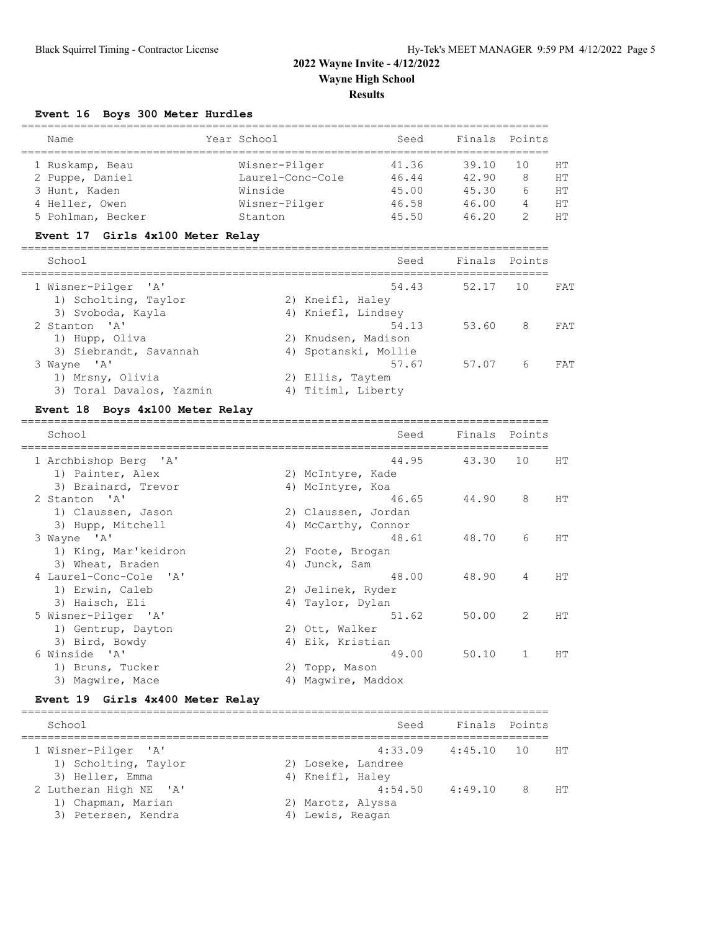### **Event 16 Boys 300 Meter Hurdles**

| Name              | Year School      | Seed  | Finals | Points |    |
|-------------------|------------------|-------|--------|--------|----|
| 1 Ruskamp, Beau   | Wisner-Pilger    | 41.36 | 39.10  | 1 O    | HТ |
| 2 Puppe, Daniel   | Laurel-Conc-Cole | 46.44 | 42.90  |        | HТ |
| 3 Hunt, Kaden     | Winside          | 45.00 | 45.30  |        | HТ |
| 4 Heller, Owen    | Wisner-Pilger    | 46.58 | 46.00  | 4      | HТ |
| 5 Pohlman, Becker | Stanton          | 45.50 | 46.20  |        | HТ |

## **Event 17 Girls 4x100 Meter Relay**

| Seed                 | Finals Points |          |
|----------------------|---------------|----------|
| 54.43                | 52.17 10      | FAT      |
| 2) Kneifl, Haley     |               |          |
| 4) Kniefl, Lindsey   |               |          |
| 54.13                | 53.60 8       | FAT      |
| 2) Knudsen, Madison  |               |          |
| 4) Spotanski, Mollie |               |          |
| 57.67                | 57.07         | 6<br>FAT |
| 2) Ellis, Taytem     |               |          |
| 4) Titiml, Liberty   |               |          |
|                      |               |          |

### **Event 18 Boys 4x100 Meter Relay**

| Finals<br>Points         |
|--------------------------|
| 43.30<br>10<br><b>HT</b> |
|                          |
|                          |
| 8<br>HT<br>44.90         |
|                          |
|                          |
| 48.70<br>HT<br>6         |
|                          |
|                          |
| 48.90<br>4<br>HТ         |
|                          |
|                          |
| 2<br>50.00<br>HТ         |
|                          |
|                          |
| 50.10<br>1<br>HТ         |
|                          |
|                          |
|                          |

### **Event 19 Girls 4x400 Meter Relay**

| School                 | Seed               | Finals Points          |                         |           |
|------------------------|--------------------|------------------------|-------------------------|-----------|
| 1 Wisner-Pilger 'A'    |                    | $4:33.09$ $4:45.10$ 10 |                         | <b>HT</b> |
| 1) Scholting, Taylor   | 2) Loseke, Landree |                        |                         |           |
| 3) Heller, Emma        | 4) Kneifl, Haley   |                        |                         |           |
| 2 Lutheran High NE 'A' | 4:54.50            | 4:49.10                | $\overline{\mathbf{R}}$ | HT        |
| 1) Chapman, Marian     | 2) Marotz, Alyssa  |                        |                         |           |
| 3) Petersen, Kendra    | 4) Lewis, Reagan   |                        |                         |           |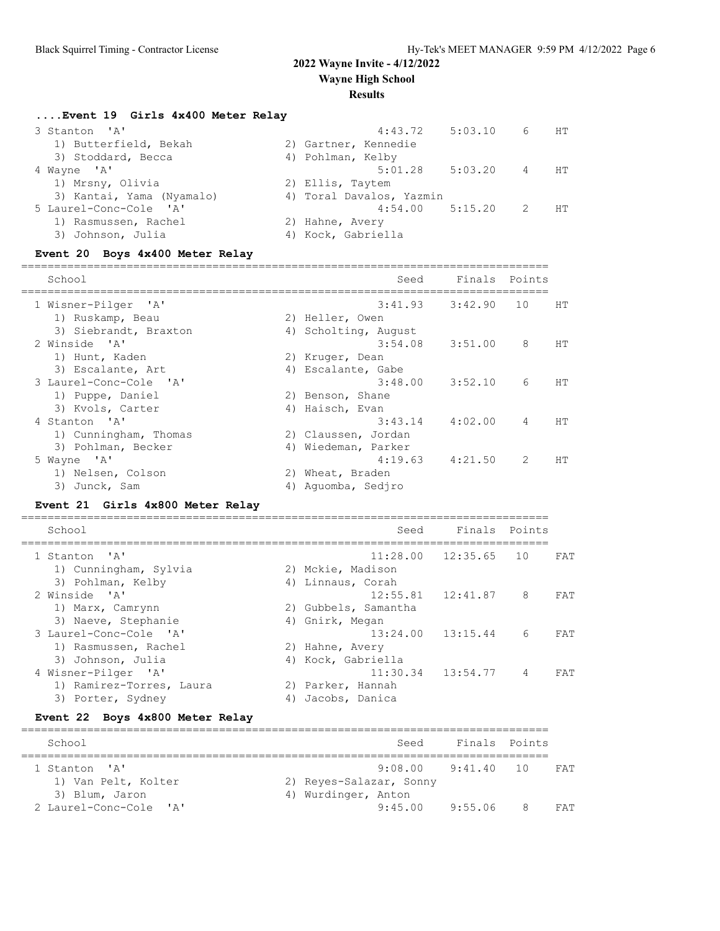#### **Results**

**....Event 19 Girls 4x400 Meter Relay**

| 3 Stanton 'A'             | 4:43.72                  | 5:03.10 | 6  | <b>HT</b>      |
|---------------------------|--------------------------|---------|----|----------------|
| 1) Butterfield, Bekah     | 2) Gartner, Kennedie     |         |    |                |
| 3) Stoddard, Becca        | 4) Pohlman, Kelby        |         |    |                |
| 4 Wayne 'A'               | 5:01.28                  | 5:03.20 | 4  | HT             |
| 1) Mrsny, Olivia          | 2) Ellis, Taytem         |         |    |                |
| 3) Kantai, Yama (Nyamalo) | 4) Toral Davalos, Yazmin |         |    |                |
| 5 Laurel-Conc-Cole 'A'    | $4:54.00$ $5:15.20$      |         | -2 | HT <sup></sup> |
| 1) Rasmussen, Rachel      | 2) Hahne, Avery          |         |    |                |
| 3) Johnson, Julia         | 4) Kock, Gabriella       |         |    |                |
|                           |                          |         |    |                |

#### **Event 20 Boys 4x400 Meter Relay**

================================================================================ School Seed Finals Points ================================================================================ 1 Wisner-Pilger 'A' 3:41.93 3:42.90 10 HT 1) Ruskamp, Beau 2) Heller, Owen 3) Siebrandt, Braxton (4) Scholting, August 2 Winside 'A' 3:54.08 3:51.00 8 HT 1) Hunt, Kaden 2) Kruger, Dean 3) Escalante, Art (4) Escalante, Gabe 3 Laurel-Conc-Cole 'A' 3:48.00 3:52.10 6 HT 1) Puppe, Daniel 2) Benson, Shane 3) Kvols, Carter (4) Haisch, Evan 4 Stanton 'A' 3:43.14 4:02.00 4 HT 1) Cunningham, Thomas (2) Claussen, Jordan 3) Pohlman, Becker (4) Wiedeman, Parker 5 Wayne 'A' 4:19.63 4:21.50 2 HT 1) Nelsen, Colson 2) Wheat, Braden 3) Junck, Sam and Aguomba, Sedjro

#### **Event 21 Girls 4x800 Meter Relay**

| School                   |    | Seed                 | Finals                   | Points         |     |
|--------------------------|----|----------------------|--------------------------|----------------|-----|
| 1 Stanton 'A'            |    |                      | $11:28.00$ $12:35.65$ 10 |                | FAT |
| 1) Cunningham, Sylvia    |    | 2) Mckie, Madison    |                          |                |     |
| 3) Pohlman, Kelby        |    | 4) Linnaus, Corah    |                          |                |     |
| 2 Winside 'A'            |    |                      | $12:55.81$ $12:41.87$    | 8              | FAT |
| 1) Marx, Camrynn         |    | 2) Gubbels, Samantha |                          |                |     |
| 3) Naeve, Stephanie      |    | 4) Gnirk, Megan      |                          |                |     |
| 3 Laurel-Conc-Cole 'A'   |    |                      | $13:24.00$ $13:15.44$    | 6              | FAT |
| 1) Rasmussen, Rachel     |    | 2) Hahne, Avery      |                          |                |     |
| 3) Johnson, Julia        |    | 4) Kock, Gabriella   |                          |                |     |
| 4 Wisner-Pilger 'A'      |    |                      | $11:30.34$ $13:54.77$    | $\overline{4}$ | FAT |
| 1) Ramirez-Torres, Laura |    | 2) Parker, Hannah    |                          |                |     |
| 3) Porter, Sydney        | 4) | Jacobs, Danica       |                          |                |     |

#### **Event 22 Boys 4x800 Meter Relay**

| School                 | Finals Points<br>Seed           |
|------------------------|---------------------------------|
|                        |                                 |
| 1 Stanton 'A'          | 9:08.00 9:41.40 10<br>FAT       |
| 1) Van Pelt, Kolter    | 2) Reyes-Salazar, Sonny         |
| 3) Blum, Jaron         | 4) Wurdinger, Anton             |
| 2 Laurel-Conc-Cole 'A' | $9:45.00$ $9:55.06$<br>8<br>FAT |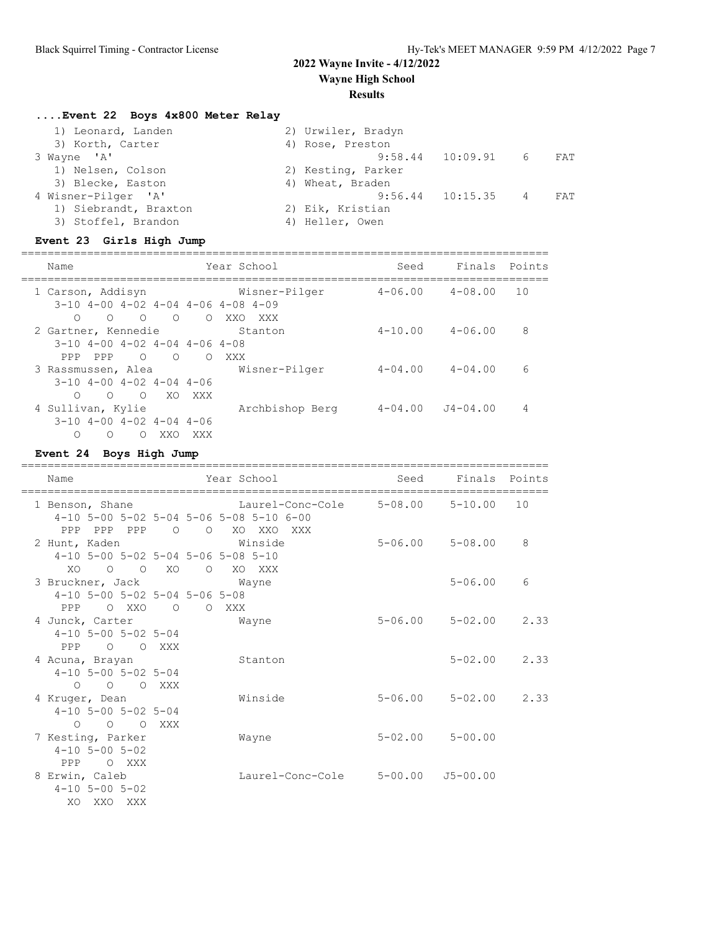### **Results**

## **....Event 22 Boys 4x800 Meter Relay**

| 1) Leonard, Landen    | 2) Urwiler, Bradyn                            |
|-----------------------|-----------------------------------------------|
| 3) Korth, Carter      | 4) Rose, Preston                              |
| 3 Wayne 'A'           | $9:58.44$ 10:09.91 6<br>FAT                   |
| 1) Nelsen, Colson     | 2) Kesting, Parker                            |
| 3) Blecke, Easton     | 4) Wheat, Braden                              |
| 4 Wisner-Pilger 'A'   | $9:56.44$ $10:15.35$<br>$\overline{4}$<br>FAT |
| 1) Siebrandt, Braxton | 2) Eik, Kristian                              |
| 3) Stoffel, Brandon   | 4) Heller, Owen                               |

## **Event 23 Girls High Jump**

| Name                                                                                                                          | Year School                      | Seed        | Finals                   | Points |
|-------------------------------------------------------------------------------------------------------------------------------|----------------------------------|-------------|--------------------------|--------|
| 1 Carson, Addisyn<br>$3-10$ 4-00 4-02 4-04 4-06 4-08 4-09                                                                     | Wisner-Pilger                    | $4 - 06.00$ | $4 - 08.00$              | 10     |
| $\overline{O}$<br>$\overline{O}$<br>$\bigcirc$<br>$\bigcirc$<br>2 Gartner, Kennedie<br>$3-10$ 4-00 4-02 4-04 4-06 4-08        | $\circ$<br>XXO<br>XXX<br>Stanton | $4 - 10.00$ | $4 - 06.00$              | 8      |
| PPP<br>PPP<br>$\circ$<br>$\Omega$<br>3 Rassmussen, Alea<br>$3-10$ 4-00 4-02 4-04 4-06                                         | $\Omega$<br>XXX<br>Wisner-Pilger | $4 - 04.00$ | $4 - 04.00$              | 6      |
| $\circ$<br>$\Omega$<br>O XO XXX<br>4 Sullivan, Kylie<br>$3-10$ 4-00 4-02 4-04 4-06<br>XXO<br>$\Omega$<br>$\Omega$<br>$\Omega$ | Archbishop Berg<br>XXX           |             | $4 - 04.00$ $J4 - 04.00$ | 4      |

### **Event 24 Boys High Jump**

| Name                                                                            | Year School                                                                                               | Seed        | Finals Points                |    |
|---------------------------------------------------------------------------------|-----------------------------------------------------------------------------------------------------------|-------------|------------------------------|----|
| 1 Benson, Shane                                                                 | Laurel-Conc-Cole 5-08.00 5-10.00<br>4-10 5-00 5-02 5-04 5-06 5-08 5-10 6-00<br>PPP PPP PPP 0 0 XO XXO XXX |             |                              | 10 |
| 2 Hunt, Kaden                                                                   | Winside<br>4-10 5-00 5-02 5-04 5-06 5-08 5-10                                                             |             | $5 - 06.00$ $5 - 08.00$      | 8  |
| XO<br>$O$ $O$ $XO$                                                              | O XO XXX<br>3 Bruckner, Jack Mayne<br>$4-10$ 5-00 5-02 5-04 5-06 5-08                                     |             | $5 - 06.00$                  | 6  |
| PPP OXXO O<br>4 Junck, Carter<br>$4-10$ 5-00 5-02 5-04                          | O XXX<br>Wayne                                                                                            |             | $5 - 06.00$ $5 - 02.00$ 2.33 |    |
| PPP 0 0 XXX<br>4 Acuna, Brayan<br>$4-10$ 5-00 5-02 5-04                         | Stanton                                                                                                   |             | $5 - 02.00$ 2.33             |    |
| O OXXX<br>$\Omega$<br>4 Kruger, Dean<br>$4-10$ 5-00 5-02 5-04                   | Winside                                                                                                   | $5 - 06.00$ | $5 - 02.00$ 2.33             |    |
| O O O XXX<br>7 Kesting, Parker<br>$4 - 10$ 5 - 00 5 - 02                        | Wayne                                                                                                     |             | $5 - 02.00$ $5 - 00.00$      |    |
| PPP<br>O XXX<br>8 Erwin, Caleb<br>$4 - 10$ 5 - 00 5 - 02<br>XO.<br>XXO<br>XXX X | Laurel-Conc-Cole                                                                                          |             | $5 - 00.00$ $J5 - 00.00$     |    |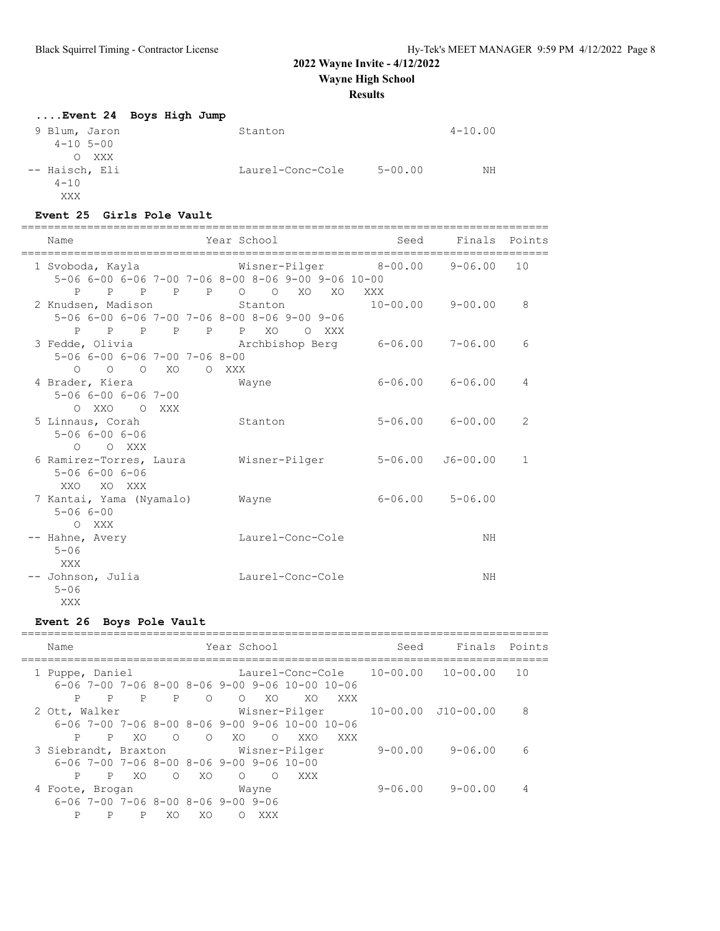**Wayne High School**

#### **Results**

### **....Event 24 Boys High Jump** 9 Blum, Jaron Stanton Stanton 4-10.00 4-10 5-00 O XXX<br>-- Haisch, Eli Laurel-Conc-Cole 5-00.00 NH

#### **Event 25 Girls Pole Vault**

 $4 - 10$ XXX

| Name             | Year School                                        | Seed        | Finals Points |      |
|------------------|----------------------------------------------------|-------------|---------------|------|
| 1 Svoboda, Kayla | Wisner-Pilger                                      | $8 - 00.00$ | 9-06.00       | - 10 |
|                  | 5-06 6-00 6-06 7-00 7-06 8-00 8-06 9-00 9-06 10-00 |             |               |      |

| 5-06 6-00 6-06 7-00 7-06 8-00 8-06 9-00 9-06 10-00 |  |       |                  |         |     |                                                                       |                         |              |
|----------------------------------------------------|--|-------|------------------|---------|-----|-----------------------------------------------------------------------|-------------------------|--------------|
|                                                    |  |       |                  |         |     | PPPPPO OXOXOXXX                                                       |                         |              |
|                                                    |  |       |                  |         |     | 2 Knudsen, Madison Stanton 10-00.00 9-00.00                           |                         | 8            |
| 5-06 6-00 6-06 7-00 7-06 8-00 8-06 9-00 9-06       |  |       |                  |         |     |                                                                       |                         |              |
| P P P P P P XO                                     |  |       |                  | $\circ$ | XXX |                                                                       |                         |              |
|                                                    |  |       |                  |         |     | 3 Fedde, Olivia             Archbishop Berg       6-06.00     7-06.00 |                         | 6            |
| 5-06 6-00 6-06 7-00 7-06 8-00                      |  |       |                  |         |     |                                                                       |                         |              |
| $O$ $O$ $O$ $XO$                                   |  | O XXX |                  |         |     |                                                                       |                         |              |
| 4 Brader, Kiera Mayne                              |  |       |                  |         |     |                                                                       | $6 - 06.00$ $6 - 06.00$ | 4            |
| $5 - 066 - 006 - 067 - 00$                         |  |       |                  |         |     |                                                                       |                         |              |
| O XXO O XXX                                        |  |       |                  |         |     |                                                                       |                         |              |
| 5 Linnaus, Corah                                   |  |       | Stanton          |         |     |                                                                       | $5 - 06.00$ $6 - 00.00$ | 2            |
| $5 - 066 - 006 - 06$                               |  |       |                  |         |     |                                                                       |                         |              |
| O O XXX                                            |  |       |                  |         |     |                                                                       |                         |              |
| 6 Ramirez-Torres, Laura Misner-Pilger              |  |       |                  |         |     | $5 - 06.00$                                                           | J6-00.00                | $\mathbf{1}$ |
| $5 - 066 - 006 - 06$                               |  |       |                  |         |     |                                                                       |                         |              |
| XXO XO XXX                                         |  |       |                  |         |     |                                                                       |                         |              |
| 7 Kantai, Yama (Nyamalo) Wayne                     |  |       |                  |         |     |                                                                       | $6 - 06.00$ $5 - 06.00$ |              |
| $5 - 066 - 00$                                     |  |       |                  |         |     |                                                                       |                         |              |
| O XXX                                              |  |       |                  |         |     |                                                                       |                         |              |
| -- Hahne, Avery                                    |  |       | Laurel-Conc-Cole |         |     |                                                                       | NH                      |              |
| $5 - 06$                                           |  |       |                  |         |     |                                                                       |                         |              |
| XXX                                                |  |       |                  |         |     |                                                                       |                         |              |
| -- Johnson, Julia                                  |  |       | Laurel-Conc-Cole |         |     |                                                                       | NH                      |              |
| $5 - 06$                                           |  |       |                  |         |     |                                                                       |                         |              |
| XXX                                                |  |       |                  |         |     |                                                                       |                         |              |
|                                                    |  |       |                  |         |     |                                                                       |                         |              |

### **Event 26 Boys Pole Vault**

| Name                                                           | Year School                                                                                    |                                   | Seed        | Finals                     | Points |
|----------------------------------------------------------------|------------------------------------------------------------------------------------------------|-----------------------------------|-------------|----------------------------|--------|
| 1 Puppe, Daniel                                                | $6-06$ 7-00 7-06 8-00 8-06 9-00 9-06 10-00 10-06                                               | Laurel-Conc-Cole 10-00.00         |             | $10 - 00.00$               | 10     |
| P<br>P<br>P<br>2 Ott, Walker                                   | P<br>$\bigcirc$<br>$\bigcirc$<br>$6-06$ 7-00 7-06 8-00 8-06 9-00 9-06 10-00 10-06              | XO<br>XO.<br>XXX<br>Wisner-Pilger |             | $10 - 00.00$ $J10 - 00.00$ | 8      |
| P<br>$\mathsf{P}$<br>XO.<br>3 Siebrandt, Braxton Misner-Pilger | $\bigcirc$<br>$\circ$<br>XO.<br>$6-06$ 7-00 7-06 8-00 8-06 9-00 9-06 10-00                     | $\Omega$<br>XXO<br>XXX            | $9 - 00.00$ | $9 - 06.00$                | 6      |
| XO.<br>P<br>P<br>4 Foote, Brogan<br>Ρ<br>$\mathsf{P}$<br>P     | $\bigcirc$<br>XO<br>$\bigcirc$<br>Wayne<br>$6 - 06$ 7-00 7-06 8-00 8-06 9-00 9-06<br>XO.<br>XO | $\bigcirc$<br>XXX<br>XXX          | $9 - 06.00$ | $9 - 00.00$                | 4      |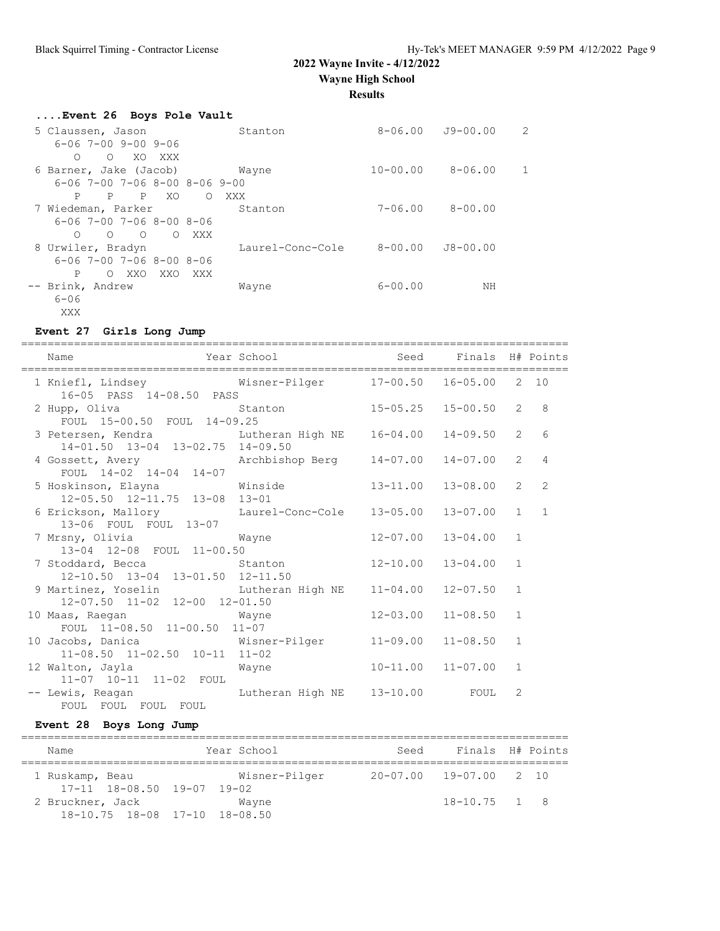**Wayne High School**

**Results**

| Event 26 Boys Pole Vault                       |                   |              |                          |               |
|------------------------------------------------|-------------------|--------------|--------------------------|---------------|
| 5 Claussen, Jason                              | Stanton           |              | $8 - 06.00$ $J9 - 00.00$ | $\mathcal{L}$ |
| 6-06 7-00 9-00 9-06                            |                   |              |                          |               |
| $\Omega$<br>XO XXX<br>∩                        |                   |              |                          |               |
| 6 Barner, Jake (Jacob)                         | Wayne             | $10 - 00.00$ | $8 - 06.00$              |               |
| $6-06$ 7-00 7-06 8-00 8-06 9-00                |                   |              |                          |               |
| XO<br>P<br>P<br>$\mathbf{P}$                   | XXX<br>$\bigcirc$ |              |                          |               |
| 7 Wiedeman, Parker                             | Stanton           | $7 - 06.00$  | $8 - 00.00$              |               |
| $6 - 06$ 7-00 7-06 8-00 8-06                   |                   |              |                          |               |
| $\Omega$<br>$\overline{O}$<br>O XXX<br>$\circ$ |                   |              |                          |               |
| 8 Urwiler, Bradyn                              | Laurel-Conc-Cole  | $8 - 00.00$  | $J8 - 00.00$             |               |
| $6 - 06$ 7-00 7-06 8-00 8-06                   |                   |              |                          |               |
| O XXO XXO XXX<br>P                             |                   |              |                          |               |
| -- Brink, Andrew                               | Wayne             | $6 - 00.00$  | NΗ                       |               |
| $6 - 06$                                       |                   |              |                          |               |
| XXX                                            |                   |              |                          |               |

#### **Event 27 Girls Long Jump**

=================================================================================== Name The Year School Seed Finals H# Points =================================================================================== 1 Kniefl, Lindsey Wisner-Pilger 17-00.50 16-05.00 2 10 16-05 PASS 14-08.50 PASS 2 Hupp, Oliva Stanton 15-05.25 15-00.50 2 8 FOUL 15-00.50 FOUL 14-09.25 3 Petersen, Kendra Lutheran High NE 16-04.00 14-09.50 2 6 14-01.50 13-04 13-02.75 14-09.50 14-01.50 13-04 13-02.75 14-09.50<br>4 Gossett, Avery Marchbishop Berg 14-07.00 14-07.00 2 4 FOUL 14-02 14-04 14-07 5 Hoskinson, Elayna Winside 13-11.00 13-08.00 2 2 12-05.50 12-11.75 13-08 13-01 6 Erickson, Mallory Laurel-Conc-Cole 13-05.00 13-07.00 1 1 13-06 FOUL FOUL 13-07 7 Mrsny, Olivia Wayne 12-07.00 13-04.00 1 13-04 12-08 FOUL 11-00.50 7 Stoddard, Becca Stanton 12-10.00 13-04.00 1 12-10.50 13-04 13-01.50 12-11.50 9 Martinez, Yoselin Lutheran High NE 11-04.00 12-07.50 1 12-07.50 11-02 12-00 12-01.50 10 Maas, Raegan Wayne 12-03.00 11-08.50 1 12-07.50 11-02 12-00 12-01.50<br>aas, Raegan Mayne 12-03.00 11-08.50 1<br>FOUL 11-08.50 11-00.50 11-07 10 Jacobs, Danica Wisner-Pilger 11-09.00 11-08.50 1 11-08.50 11-02.50 10-11 11-02 12 Walton, Jayla Wayne 10-11.00 11-07.00 1 11-07 10-11 11-02 FOUL -- Lewis, Reagan Lutheran High NE 13-10.00 FOUL 2 FOUL FOUL FOUL FOUL

#### **Event 28 Boys Long Jump**

| Name             |                                    | Year School   | Seed                   | Finals H# Points |  |
|------------------|------------------------------------|---------------|------------------------|------------------|--|
| 1 Ruskamp, Beau  | $17-11$ $18-08.50$ $19-07$ $19-02$ | Wisner-Pilger | 20-07.00 19-07.00 2 10 |                  |  |
| 2 Bruckner, Jack | 18-10.75 18-08 17-10 18-08.50      | Wayne         |                        | $18 - 10.75$ 1 8 |  |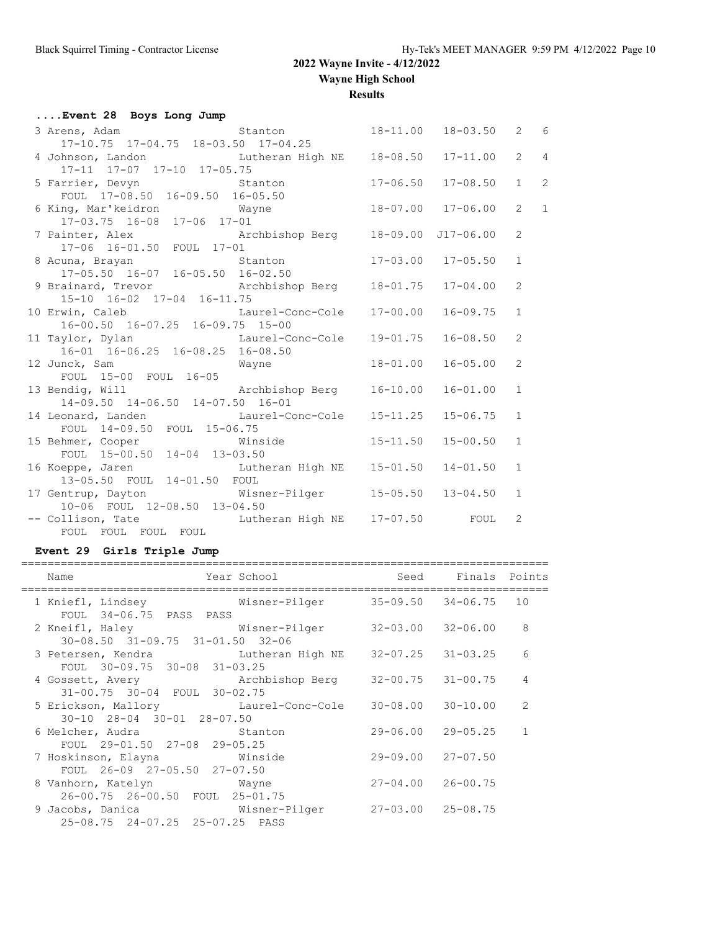**Results**

| Event 28 Boys Long Jump                                                                                     |              |                           |                |                |
|-------------------------------------------------------------------------------------------------------------|--------------|---------------------------|----------------|----------------|
|                                                                                                             |              |                           |                |                |
| 4 Johnson, Landon<br>17-11 17-07 17-10 17-05.75                                                             |              | $17 - 11.00$              | $\overline{2}$ | $\overline{4}$ |
|                                                                                                             |              |                           |                |                |
| 5 Farrier, Devyn Stanton                                                                                    | $17 - 06.50$ | $17 - 08.50$              | $\mathbf{1}$   | $\overline{2}$ |
| FOUL $17-0.850$ 16-09.50 16-05.50<br>6 King, Mar'keidron Mayne 18-07.00 17-06.00                            |              |                           | $\overline{2}$ | $\mathbf{1}$   |
| 17-03.75 16-08 17-06 17-01                                                                                  |              |                           |                |                |
| 7 Painter, Alex<br>17-06 16-01.50 FOUL 17-01<br>17-01                                                       |              |                           | 2              |                |
|                                                                                                             |              | $17 - 03.00$ $17 - 05.50$ | $\mathbf{1}$   |                |
| 9 Brainard, Trevor Marchbishop Berg 18-01.75                                                                |              | $17 - 04.00$              | 2              |                |
| 15-10 16-02 17-04 16-11.75<br>10 Erwin, Caleb Laurel-Conc-Cole 17-00.00<br>16-00.50 16-07.25 16-09.75 15-00 |              | $16 - 09.75$              | $\mathbf{1}$   |                |
| 11 Taylor, Dylan<br>16-01 16-06.25 16-08.25 16-08.50                                                        |              | $16 - 08.50$              | 2              |                |
| 12 Junck, Sam Mayne<br>FOUL 15-00 FOUL 16-05                                                                | $18 - 01.00$ | $16 - 05.00$              | 2              |                |
| 13 Bendig, Will Michael Archbishop Berg 16-10.00<br>14-09.50 14-06.50 14-07.50 16-01                        |              | $16 - 01.00$              | $\mathbf{1}$   |                |
| 14 Leonard, Landen Laurel-Conc-Cole 15-11.25<br>FOUL 14-09.50 FOUL 15-06.75                                 |              | $15 - 06.75$              | $\mathbf{1}$   |                |
| 15 Behmer, Cooper<br>FOUL 15-00.50 14-04 13-03.50                                                           | $15 - 11.50$ | $15 - 00.50$              | $\mathbf{1}$   |                |
| 16 Koeppe, Jaren Martin Lutheran High NE 15-01.50<br>13-05.50 FOUL 14-01.50 FOUL                            |              | $14 - 01.50$              | $\mathbf{1}$   |                |
| 17 Gentrup, Dayton Wisner-Pilger 15-05.50 13-04.50<br>10-06 FOUL 12-08.50 13-04.50                          |              |                           | 1              |                |
| -- Collison, Tate Tutheran High NE 17-07.50 FOUL<br>FOUL FOUL FOUL FOUL                                     |              |                           | 2              |                |

## **Event 29 Girls Triple Jump**

| Name                                                                                                                  | Year School and the School | Seed Finals Points        |                |
|-----------------------------------------------------------------------------------------------------------------------|----------------------------|---------------------------|----------------|
| 1 Kniefl, Lindsey Misner-Pilger<br>FOUL 34-06.75 PASS PASS                                                            |                            | $35 - 09.50$ $34 - 06.75$ | 10             |
| 2 Kneifl, Haley Misner-Pilger 32-03.00 32-06.00<br>30-08.50 31-09.75 31-01.50 32-06                                   |                            |                           | 8              |
| 3 Petersen, Kendra         Lutheran High NE     32-07.25   31-03.25<br>FOUL 30-09.75 30-08 31-03.25                   |                            |                           | 6              |
| 4 Gossett, Avery Marchbishop Berg 32-00.75 31-00.75<br>31-00.75 30-04 FOUL 30-02.75                                   |                            |                           | 4              |
| 5 Erickson, Mallory Laurel-Conc-Cole<br>30-10 28-04 30-01 28-07.50                                                    |                            | $30 - 08.00$ $30 - 10.00$ | $\overline{2}$ |
| 6 Melcher, Audra (b) Stanton<br>FOUL 29-01.50 27-08 29-05.25                                                          |                            | 29-06.00 29-05.25         | $\mathbf{1}$   |
| FOUL 26-09 27-05.50 27-07.50                                                                                          |                            | $29 - 09.00$ $27 - 07.50$ |                |
| 8 Vanhorn, Katelyn Mayne<br>26-00.75 26-00.50 FOUL 25-01.75                                                           |                            | $27 - 04.00$ $26 - 00.75$ |                |
| 9 Jacobs, Danica                         Wisner-Pilger         27-03.00   25-08.75<br>25-08.75 24-07.25 25-07.25 PASS |                            |                           |                |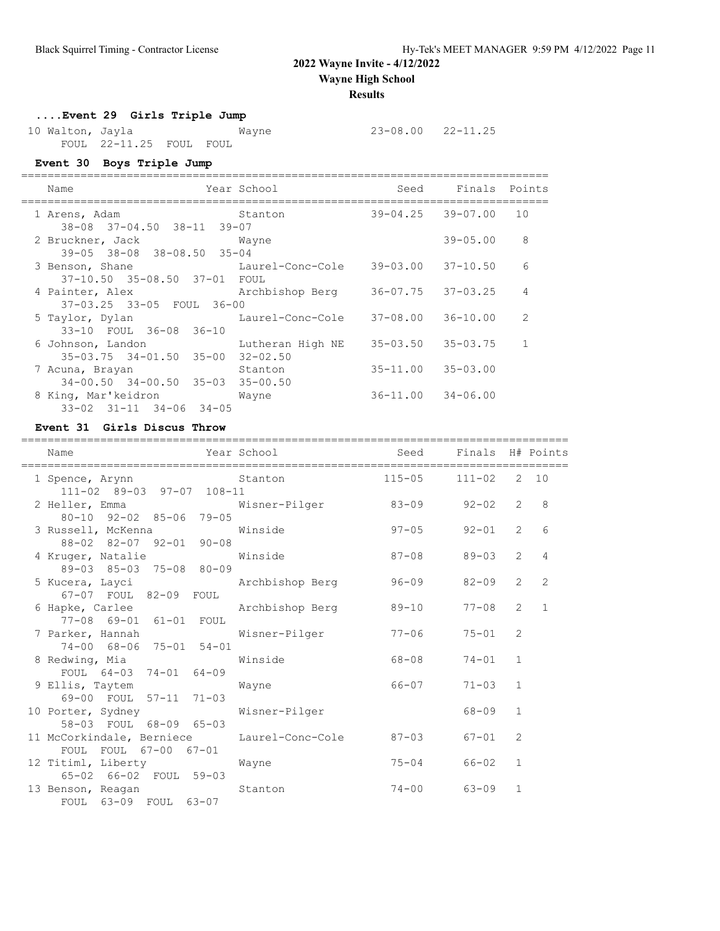**Wayne High School**

#### **Results**

## **....Event 29 Girls Triple Jump**

 10 Walton, Jayla Wayne 23-08.00 22-11.25 FOUL 22-11.25 FOUL FOUL

## **Event 30 Boys Triple Jump**

| Name                                                            | Year School      | Seed                      | Finals Points |               |
|-----------------------------------------------------------------|------------------|---------------------------|---------------|---------------|
| 1 Arens, Adam                                                   | Stanton          | 39-04.25 39-07.00         |               | 10            |
| 38-08 37-04.50 38-11 39-07<br>2 Bruckner, Jack<br>Wayne         |                  |                           | $39 - 05.00$  | 8             |
| 39-05 38-08 38-08.50 35-04                                      |                  |                           |               | 6             |
| 3 Benson, Shane<br>37-10.50 35-08.50 37-01 FOUL                 | Laurel-Conc-Cole | 39-03.00 37-10.50         |               |               |
| 4 Painter, Alex                                                 | Archbishop Berg  | 36-07.75 37-03.25         |               | 4             |
| 37-03.25 33-05 FOUL 36-00<br>5 Taylor, Dylan                    | Laurel-Conc-Cole | 37-08.00 36-10.00         |               | $\mathcal{L}$ |
| 33-10 FOUL 36-08 36-10                                          |                  |                           |               |               |
| 6 Johnson, Landon<br>35-03.75 34-01.50 35-00 32-02.50           | Lutheran High NE | $35 - 03.50$ $35 - 03.75$ |               |               |
| 7 Acuna, Brayan                                                 | Stanton          | $35 - 11.00$ $35 - 03.00$ |               |               |
| $34-00.50$ $34-00.50$ $35-03$ $35-00.50$<br>8 King, Mar'keidron | Wayne            | $36 - 11.00$ $34 - 06.00$ |               |               |
| $33 - 02$ $31 - 11$ $34 - 06$ $34 - 05$                         |                  |                           |               |               |

### **Event 31 Girls Discus Throw**

| Name                                                                | Year School     | Seed       | Finals H# Points<br>========= |                |                |
|---------------------------------------------------------------------|-----------------|------------|-------------------------------|----------------|----------------|
| 1 Spence, Arynn Stanton<br>111-02 89-03 97-07 108-11                |                 | $115 - 05$ | $111 - 02$                    |                | 2 10           |
| 2 Heller, Emma<br>80-10 92-02 85-06 79-05                           | Wisner-Pilger   | $83 - 09$  | $92 - 02$                     | 2              | 8              |
| 3 Russell, McKenna<br>88-02 82-07 92-01 90-08                       | Winside         | $97 - 05$  | 92-01                         | 2              | 6              |
| 4 Kruger, Natalie<br>89-03 85-03 75-08 80-09                        | Winside         | $87 - 08$  | $89 - 03$                     | $\overline{2}$ | 4              |
| 5 Kucera, Layci<br>67-07 FOUL 82-09 FOUL                            | Archbishop Berg | 96-09      | 82-09                         | $\overline{2}$ | $\overline{2}$ |
| 6 Hapke, Carlee Archbishop Berg<br>77-08 69-01 61-01 FOUL           |                 | 89-10      | $77 - 08$                     | $\overline{2}$ | $\mathbf{1}$   |
| 7 Parker, Hannah<br>74-00 68-06 75-01 54-01                         | Wisner-Pilger   | $77 - 06$  | $75 - 01$                     | 2              |                |
| 8 Redwing, Mia<br>FOUL 64-03 74-01 64-09                            | Winside         | 68-08      | 74-01                         | $\mathbf{1}$   |                |
| 9 Ellis, Taytem<br>69-00 FOUL 57-11 71-03                           | Wayne           | 66-07      | $71 - 03$                     | $\mathbf{1}$   |                |
| 10 Porter, Sydney<br>58-03 FOUL 68-09 65-03                         | Wisner-Pilger   |            | 68-09                         | $\mathbf{1}$   |                |
| 11 McCorkindale, Berniece Laurel-Conc-Cole<br>FOUL FOUL 67-00 67-01 |                 | 87-03      | 67-01                         | 2              |                |
| 12 Titiml, Liberty<br>65-02 66-02 FOUL 59-03                        | Wayne           | $75 - 04$  | 66-02                         | $\mathbf{1}$   |                |
| 13 Benson, Reagan<br>FOUL 63-09 FOUL 63-07                          | Stanton         | $74 - 00$  | $63 - 09$                     | $\mathbf{1}$   |                |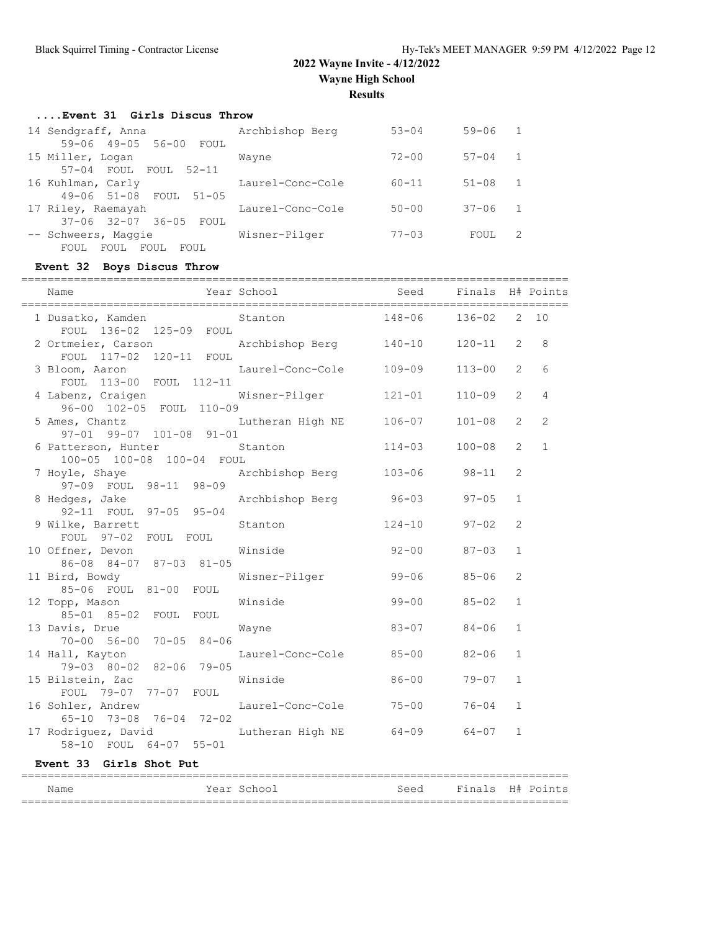#### **....Event 31 Girls Discus Throw**

| 14 Sendgraff, Anna                   | Archbishop Berg  | $53 - 04$  | $59 - 06$ | $\overline{1}$ |
|--------------------------------------|------------------|------------|-----------|----------------|
| 59-06 49-05 56-00 FOUL               |                  |            |           |                |
| 15 Miller, Logan                     | Wayne            | $72 - 00$  | $57 - 04$ | 1              |
| 57-04 FOUL FOUL 52-11                |                  |            |           |                |
| 16 Kuhlman, Carly                    | Laurel-Conc-Cole | $60 - 11$  | $51 - 08$ | -1             |
| 49-06 51-08 FOUL<br>$51 - 05$        |                  |            |           |                |
| 17 Riley, Raemayah                   | Laurel-Conc-Cole | $50 - 00$  | $37 - 06$ | $\sqrt{1}$     |
| 37-06 32-07 36-05 FOUL               |                  |            |           |                |
| -- Schweers, Maggie                  | Wisner-Pilger    | $77 - 0.3$ | FOUL      | 2              |
| FOUL<br>FOUL.<br>FOUL<br><b>FOUL</b> |                  |            |           |                |

### **Event 32 Boys Discus Throw**

| Year School<br>Seed Finals H# Points<br>Name<br>$148 - 06$<br>$136 - 02$<br>1 Dusatko, Kamden Stanton<br>FOUL 136-02 125-09 FOUL<br>2 Ortmeier, Carson<br>Archbishop Berg 140-10<br>$\overline{2}$<br>$120 - 11$<br>FOUL 117-02 120-11 FOUL<br>$\overline{2}$<br>3 Bloom, Aaron<br>Laurel-Conc-Cole 109-09<br>$113 - 00$<br>FOUL 113-00 FOUL 112-11<br>$\overline{2}$<br>4 Labenz, Craigen<br>Wisner-Pilger 121-01<br>$110 - 09$<br>96-00 102-05 FOUL 110-09<br>$\overline{2}$<br>5 Ames, Chantz<br>Lutheran High NE 106-07<br>$101 - 08$<br>97-01 99-07 101-08 91-01<br>$114 - 03$<br>$\overline{2}$<br>6 Patterson, Hunter<br>$100 - 08$<br>Stanton<br>100-05 100-08 100-04 FOUL<br>Archbishop Berg 103-06 98-11<br>$\overline{2}$<br>7 Hoyle, Shaye<br>97-09 FOUL 98-11 98-09<br>Archbishop Berg 96-03<br>8 Hedges, Jake<br>$97 - 05$<br>$\mathbf{1}$<br>92-11 FOUL 97-05 95-04<br>9 Wilke, Barrett<br>$124 - 10$ 97-02<br>$\overline{2}$<br>Stanton<br>FOUL 97-02 FOUL FOUL<br>$92 - 00$ 87-03<br>10 Offner, Devon<br>Winside<br>$\mathbf{1}$<br>86-08 84-07 87-03 81-05<br>Wisner-Pilger<br>$\overline{2}$<br>11 Bird, Bowdy<br>$99 - 06$<br>$85 - 06$<br>85-06 FOUL 81-00 FOUL<br>$99 - 00$<br>Winside<br>$\mathbf{1}$<br>12 Topp, Mason<br>$85 - 02$<br>85-01 85-02 FOUL FOUL<br>$83 - 07$<br>$\mathbf{1}$<br>13 Davis, Drue<br>70-00 56-00 70-05 84-06<br>$84 - 06$<br>Wayne<br>Laurel-Conc-Cole 85-00<br>$82 - 06$<br>$\mathbf{1}$<br>14 Hall, Kayton<br>79-03 80-02 82-06 79-05<br>$86 - 00$<br>15 Bilstein, Zac<br>Winside<br>$\mathbf{1}$<br>$79 - 07$<br>FOUL 79-07 77-07 FOUL | ===========       | ============           |           |              |              |
|---------------------------------------------------------------------------------------------------------------------------------------------------------------------------------------------------------------------------------------------------------------------------------------------------------------------------------------------------------------------------------------------------------------------------------------------------------------------------------------------------------------------------------------------------------------------------------------------------------------------------------------------------------------------------------------------------------------------------------------------------------------------------------------------------------------------------------------------------------------------------------------------------------------------------------------------------------------------------------------------------------------------------------------------------------------------------------------------------------------------------------------------------------------------------------------------------------------------------------------------------------------------------------------------------------------------------------------------------------------------------------------------------------------------------------------------------------------------------------------------------------------------------------------------------------------------------------------------|-------------------|------------------------|-----------|--------------|--------------|
|                                                                                                                                                                                                                                                                                                                                                                                                                                                                                                                                                                                                                                                                                                                                                                                                                                                                                                                                                                                                                                                                                                                                                                                                                                                                                                                                                                                                                                                                                                                                                                                             |                   |                        |           |              |              |
|                                                                                                                                                                                                                                                                                                                                                                                                                                                                                                                                                                                                                                                                                                                                                                                                                                                                                                                                                                                                                                                                                                                                                                                                                                                                                                                                                                                                                                                                                                                                                                                             |                   |                        |           |              | 2, 10        |
|                                                                                                                                                                                                                                                                                                                                                                                                                                                                                                                                                                                                                                                                                                                                                                                                                                                                                                                                                                                                                                                                                                                                                                                                                                                                                                                                                                                                                                                                                                                                                                                             |                   |                        |           |              | 8            |
|                                                                                                                                                                                                                                                                                                                                                                                                                                                                                                                                                                                                                                                                                                                                                                                                                                                                                                                                                                                                                                                                                                                                                                                                                                                                                                                                                                                                                                                                                                                                                                                             |                   |                        |           |              | 6            |
|                                                                                                                                                                                                                                                                                                                                                                                                                                                                                                                                                                                                                                                                                                                                                                                                                                                                                                                                                                                                                                                                                                                                                                                                                                                                                                                                                                                                                                                                                                                                                                                             |                   |                        |           |              | 4            |
|                                                                                                                                                                                                                                                                                                                                                                                                                                                                                                                                                                                                                                                                                                                                                                                                                                                                                                                                                                                                                                                                                                                                                                                                                                                                                                                                                                                                                                                                                                                                                                                             |                   |                        |           |              | 2            |
|                                                                                                                                                                                                                                                                                                                                                                                                                                                                                                                                                                                                                                                                                                                                                                                                                                                                                                                                                                                                                                                                                                                                                                                                                                                                                                                                                                                                                                                                                                                                                                                             |                   |                        |           |              | $\mathbf{1}$ |
|                                                                                                                                                                                                                                                                                                                                                                                                                                                                                                                                                                                                                                                                                                                                                                                                                                                                                                                                                                                                                                                                                                                                                                                                                                                                                                                                                                                                                                                                                                                                                                                             |                   |                        |           |              |              |
|                                                                                                                                                                                                                                                                                                                                                                                                                                                                                                                                                                                                                                                                                                                                                                                                                                                                                                                                                                                                                                                                                                                                                                                                                                                                                                                                                                                                                                                                                                                                                                                             |                   |                        |           |              |              |
|                                                                                                                                                                                                                                                                                                                                                                                                                                                                                                                                                                                                                                                                                                                                                                                                                                                                                                                                                                                                                                                                                                                                                                                                                                                                                                                                                                                                                                                                                                                                                                                             |                   |                        |           |              |              |
|                                                                                                                                                                                                                                                                                                                                                                                                                                                                                                                                                                                                                                                                                                                                                                                                                                                                                                                                                                                                                                                                                                                                                                                                                                                                                                                                                                                                                                                                                                                                                                                             |                   |                        |           |              |              |
|                                                                                                                                                                                                                                                                                                                                                                                                                                                                                                                                                                                                                                                                                                                                                                                                                                                                                                                                                                                                                                                                                                                                                                                                                                                                                                                                                                                                                                                                                                                                                                                             |                   |                        |           |              |              |
|                                                                                                                                                                                                                                                                                                                                                                                                                                                                                                                                                                                                                                                                                                                                                                                                                                                                                                                                                                                                                                                                                                                                                                                                                                                                                                                                                                                                                                                                                                                                                                                             |                   |                        |           |              |              |
|                                                                                                                                                                                                                                                                                                                                                                                                                                                                                                                                                                                                                                                                                                                                                                                                                                                                                                                                                                                                                                                                                                                                                                                                                                                                                                                                                                                                                                                                                                                                                                                             |                   |                        |           |              |              |
|                                                                                                                                                                                                                                                                                                                                                                                                                                                                                                                                                                                                                                                                                                                                                                                                                                                                                                                                                                                                                                                                                                                                                                                                                                                                                                                                                                                                                                                                                                                                                                                             |                   |                        |           |              |              |
|                                                                                                                                                                                                                                                                                                                                                                                                                                                                                                                                                                                                                                                                                                                                                                                                                                                                                                                                                                                                                                                                                                                                                                                                                                                                                                                                                                                                                                                                                                                                                                                             |                   |                        |           |              |              |
| 65-10 73-08 76-04 72-02                                                                                                                                                                                                                                                                                                                                                                                                                                                                                                                                                                                                                                                                                                                                                                                                                                                                                                                                                                                                                                                                                                                                                                                                                                                                                                                                                                                                                                                                                                                                                                     | 16 Sohler, Andrew | Laurel-Conc-Cole 75-00 | $76 - 04$ | $\mathbf{1}$ |              |
| 17 Rodriguez, David<br>Lutheran High NE<br>$64 - 09$<br>$\mathbf{1}$<br>64-07<br>58-10 FOUL 64-07 55-01                                                                                                                                                                                                                                                                                                                                                                                                                                                                                                                                                                                                                                                                                                                                                                                                                                                                                                                                                                                                                                                                                                                                                                                                                                                                                                                                                                                                                                                                                     |                   |                        |           |              |              |

## **Event 33 Girls Shot Put**

| Name | Year School | Seed | Finals H# Points |
|------|-------------|------|------------------|
|      |             |      |                  |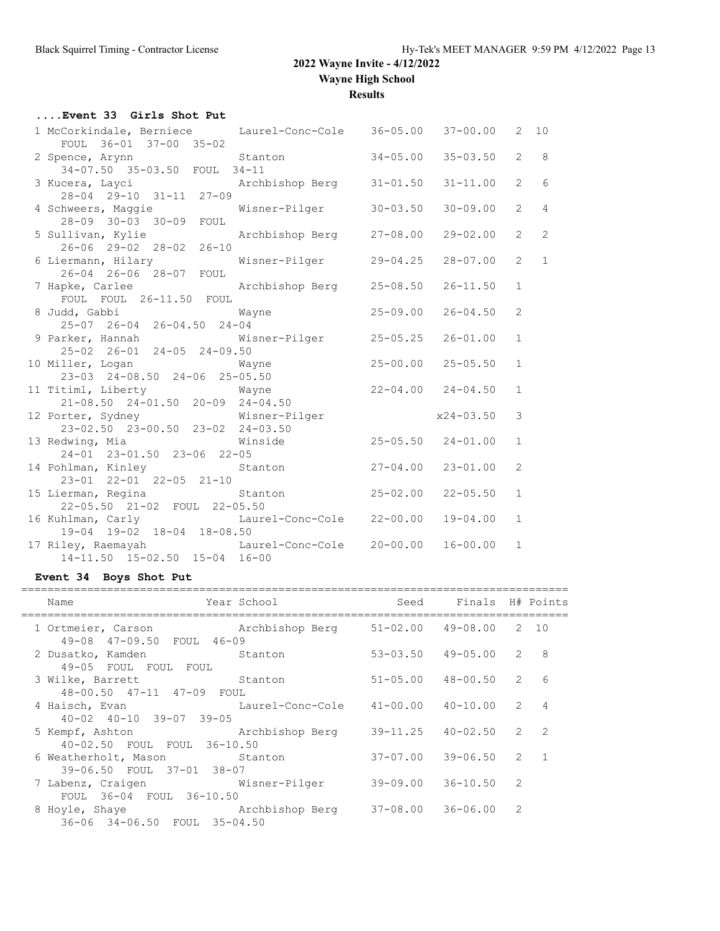**Wayne High School**

**Results**

| Event 33 Girls Shot Put                                                                             |                           |              |              |                |                 |
|-----------------------------------------------------------------------------------------------------|---------------------------|--------------|--------------|----------------|-----------------|
| 1 McCorkindale, Berniece Laurel-Conc-Cole 36-05.00 37-00.00                                         |                           |              |              |                | $2 \quad 10$    |
| FOUL 36-01 37-00 35-02                                                                              |                           |              |              |                |                 |
| 2 Spence, Arynn Stanton<br>34-07.50 35-03.50 FOUL 34-11                                             |                           | $34 - 05.00$ | $35 - 03.50$ | $\overline{2}$ | 8 <sup>8</sup>  |
|                                                                                                     |                           |              |              |                |                 |
|                                                                                                     |                           |              | $31 - 11.00$ | $\overline{2}$ | $6\overline{6}$ |
|                                                                                                     |                           |              |              |                |                 |
| 4 Schweers, Maggie Misner-Pilger                                                                    |                           | $30 - 03.50$ | $30 - 09.00$ | $\overline{2}$ | $\overline{4}$  |
| 28-09 30-03 30-09 FOUL                                                                              |                           |              |              |                |                 |
| 5 Sullivan, Kylie Marchbishop Berg 27-08.00                                                         |                           |              | $29 - 02.00$ | $\overline{2}$ | $\overline{c}$  |
| 26-06 29-02 28-02 26-10                                                                             |                           |              |              |                |                 |
| 6 Liermann, Hilary Misner-Pilger                                                                    |                           | $29 - 04.25$ | $28 - 07.00$ | $\overline{2}$ | $\mathbf{1}$    |
| $26 - 04$ $26 - 06$ $28 - 07$ FOUL                                                                  |                           |              |              |                |                 |
| 7 Hapke, Carlee (and Archbishop Berg 25-08.50)                                                      |                           |              | $26 - 11.50$ | $\mathbf{1}$   |                 |
| FOUL FOUL 26-11.50 FOUL                                                                             |                           |              |              |                |                 |
| % Judd, Gabbi Way<br>25-07 26-04 26-04.50 24-04                                                     | Wayne                     | $25 - 09.00$ | $26 - 04.50$ | 2              |                 |
|                                                                                                     |                           |              |              |                |                 |
| 9 Parker, Hannah Misner-Pilger 25-05.25                                                             |                           |              | $26 - 01.00$ | $\mathbf{1}$   |                 |
| 25-02 26-01 24-05 24-09.50                                                                          |                           |              |              |                |                 |
| 10 Miller, Logan Wayne<br>$23-03$<br>$24-09$<br>$24-09$<br>$24-09$<br>$24-09$<br>$24-09$<br>$24-09$ |                           | $25 - 00.00$ | $25 - 05.50$ | $\mathbf{1}$   |                 |
| 23-03 24-08.50 24-06 25-05.50                                                                       |                           |              |              |                |                 |
| 11 Titiml, Liberty Mayne Mayne 22-04.00 24-04.50                                                    |                           |              |              | $\mathbf{1}$   |                 |
| $21-08.50$ $24-01.50$ $20-09$ $24-04.50$                                                            |                           |              |              |                |                 |
| 12 Porter, Sydney Misner-Pilger x24-03.50                                                           |                           |              |              | 3              |                 |
| 23-02.50 23-00.50 23-02 24-03.50                                                                    |                           |              |              |                |                 |
| 13 Redwing, Mia                                                                                     | Winside 25-05.50 24-01.00 |              |              | $\mathbf{1}$   |                 |
| 24-01 23-01.50 23-06 22-05                                                                          |                           |              |              |                |                 |
| 14 Pohlman, Kinley                                                                                  | Stanton 27-04.00          |              | $23 - 01.00$ | 2              |                 |
| 23-01 22-01 22-05 21-10                                                                             |                           |              |              |                |                 |
| 15 Lierman, Regina and Stanton and 25-02.00                                                         |                           |              | $22 - 05.50$ | $\mathbf{1}$   |                 |
| 22-05.50 21-02 FOUL 22-05.50                                                                        |                           |              |              |                |                 |
| 16 Kuhlman, Carly Carly Laurel-Conc-Cole 22-00.00                                                   |                           |              | 19-04.00     | $\mathbf{1}$   |                 |
| 19-04 19-02 18-04 18-08.50                                                                          |                           |              |              |                |                 |
|                                                                                                     |                           |              | $16 - 00.00$ | $\mathbf{1}$   |                 |
| 17 Riley, Raemayah Laurel-Conc-Cole 20-00.00<br>14-11.50 15-02.50 15-04 16-00                       |                           |              |              |                |                 |

### **Event 34 Boys Shot Put**

| Name                                                                        | Year School                       | Seed                      | Finals H# Points |               |                 |
|-----------------------------------------------------------------------------|-----------------------------------|---------------------------|------------------|---------------|-----------------|
| 1 Ortmeier, Carson             Archbishop Berg<br>49-08 47-09.50 FOUL 46-09 |                                   | $51 - 02.00$ $49 - 08.00$ |                  |               | 2 10            |
| 2 Dusatko, Kamden<br>Stanton<br>49-05 FOUL FOUL FOUL                        |                                   | $53 - 03.50$ $49 - 05.00$ |                  | 2             | 8               |
| 3 Wilke, Barrett<br><b>Stanton</b><br>48-00.50 47-11 47-09 FOUL             |                                   | $51 - 05.00$              | 48-00.50         | 2             | $6\overline{6}$ |
| 4 Haisch, Evan<br>$40 - 02$ $40 - 10$ $39 - 07$ $39 - 05$                   | Laurel-Conc-Cole 41-00.00         |                           | $40 - 10.00$     | $\mathcal{L}$ | $\overline{4}$  |
| 5 Kempf, Ashton<br>40-02.50 FOUL FOUL 36-10.50                              | Archbishop Berg 39-11.25 40-02.50 |                           |                  | $\mathcal{L}$ | $\overline{2}$  |
| 6 Weatherholt, Mason Stanton<br>39-06.50 FOUL 37-01 38-07                   |                                   | $37 - 07.00$ $39 - 06.50$ |                  | $\mathcal{L}$ | $\mathbf{1}$    |
| 7 Labenz, Craigen Misner-Pilger<br>FOUL 36-04 FOUL 36-10.50                 |                                   | 39-09.00                  | $36 - 10.50$     | $\mathcal{L}$ |                 |
| 8 Hoyle, Shaye<br>36-06 34-06.50 FOUL 35-04.50                              | Archbishop Berg 37-08.00 36-06.00 |                           |                  | $\mathcal{L}$ |                 |
|                                                                             |                                   |                           |                  |               |                 |